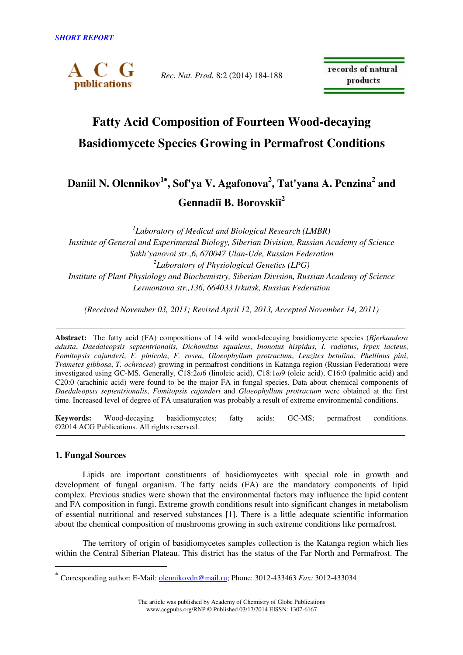

*Rec. Nat. Prod.* 8:2 (2014) 184-188

records of natural products

# **Fatty Acid Composition of Fourteen Wood-decaying Basidiomycete Species Growing in Permafrost Conditions**

# **Daniil N. Olennikov<sup>1</sup>**<sup>∗</sup>**, Sof'ya V. Agafonova<sup>2</sup> , Tat'yana A. Penzina<sup>2</sup> and Gennadi**ĭ **B. Borovski**ĭ **2**

*1 Laboratory of Medical and Biological Research (LMBR) Institute of General and Experimental Biology, Siberian Division, Russian Academy of Science Sakh'yanovoi str.,6, 670047 Ulan-Ude, Russian Federation 2 Laboratory of Physiological Genetics (LPG) Institute of Plant Physiology and Biochemistry, Siberian Division, Russian Academy of Science Lermontova str.,136, 664033 Irkutsk, Russian Federation* 

*(Received November 03, 2011; Revised April 12, 2013, Accepted November 14, 2011)* 

**Abstract:** The fatty acid (FA) compositions of 14 wild wood-decaying basidiomycete species (*Bjerkandera adusta*, *Daedaleopsis septentrionalis*, *Dichomitus squalens*, *Inonotus hispidus*, *I. radiatus*, *Irpex lacteus*, *Fomitopsis cajanderi*, *F. pinicola*, *F. rosea*, *Gloeophyllum protractum*, *Lenzites betulina*, *Phellinus pini*, *Trametes gibbosa*, *T. ochracea*) growing in permafrost conditions in Katanga region (Russian Federation) were investigated using GC-MS. Generally, C18:2ω6 (linoleic acid), C18:1ω9 (oleic acid), C16:0 (palmitic acid) and C20:0 (arachinic acid) were found to be the major FA in fungal species. Data about chemical components of *Daedaleopsis septentrionalis*, *Fomitopsis cajanderi* and *Gloeophyllum protractum* were obtained at the first time. Increased level of degree of FA unsaturation was probably a result of extreme environmental conditions.

**Keywords:** Wood-decaying basidiomycetes; fatty acids; GC-MS; permafrost conditions. ©2014 ACG Publications. All rights reserved.

## **1. Fungal Sources**

 $\overline{a}$ 

Lipids are important constituents of basidiomycetes with special role in growth and development of fungal organism. The fatty acids (FA) are the mandatory components of lipid complex. Previous studies were shown that the environmental factors may influence the lipid content and FA composition in fungi. Extreme growth conditions result into significant changes in metabolism of essential nutritional and reserved substances [1]. There is a little adequate scientific information about the chemical composition of mushrooms growing in such extreme conditions like permafrost.

The territory of origin of basidiomycetes samples collection is the Katanga region which lies within the Central Siberian Plateau. This district has the status of the Far North and Permafrost. The

<sup>∗</sup> Corresponding author: E-Mail: olennikovdn@mail.ru; Phone: 3012-433463 *Fax:* 3012-433034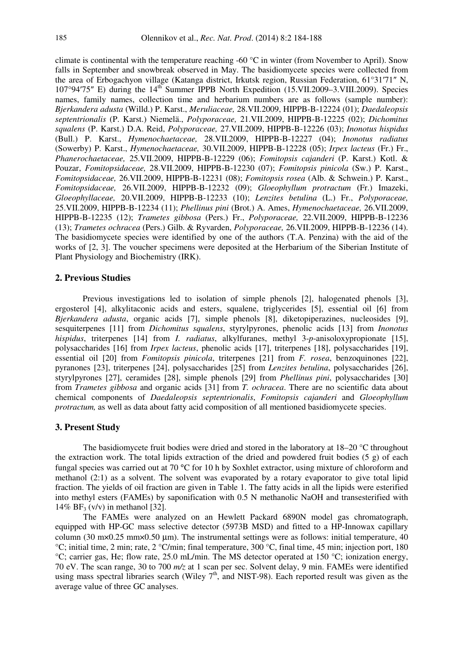climate is continental with the temperature reaching -60 °C in winter (from November to April). Snow falls in September and snowbreak observed in May. The basidiomycete species were collected from the area of Erbogachyon village (Katanga district, Irkutsk region, Russian Federation, 61°31′71″ N, 107°94′75″ E) during the 14<sup>th</sup> Summer IPPB North Expedition (15.VII.2009–3.VIII.2009). Species names, family names, collection time and herbarium numbers are as follows (sample number): *Bjerkandera adusta* (Willd.) P. Karst., *Meruliaceae,* 28.VII.2009, HIPPB-B-12224 (01); *Daedaleopsis septentrionalis* (P. Karst.) Niemelä., *Polyporaceae,* 21.VII.2009, HIPPB-B-12225 (02); *Dichomitus squalens* (P. Karst.) D.A. Reid, *Polyporaceae,* 27.VII.2009, HIPPB-B-12226 (03); *Inonotus hispidus*  (Bull.) P. Karst., *Hymenochaetaceae,* 28.VII.2009, HIPPB-B-12227 (04); *Inonotus radiatus*  (Sowerby) P. Karst., *Hymenochaetaceae,* 30.VII.2009, HIPPB-B-12228 (05); *Irpex lacteus* (Fr.) Fr., *Phanerochaetaceae,* 25.VII.2009, HIPPB-B-12229 (06); *Fomitopsis cajanderi* (P. Karst.) Kotl. & Pouzar, *Fomitopsidaceae,* 28.VII.2009, HIPPB-B-12230 (07); *Fomitopsis pinicola* (Sw.) P. Karst., *Fomitopsidaceae,* 26.VII.2009, HIPPB-B-12231 (08); *Fomitopsis rosea* (Alb. & Schwein.) P. Karst., *Fomitopsidaceae,* 26.VII.2009, HIPPB-B-12232 (09); *Gloeophyllum protractum* (Fr.) Imazeki, *Gloeophyllaceae,* 20.VII.2009, HIPPB-B-12233 (10); *Lenzites betulina* (L.) Fr., *Polyporaceae,* 25.VII.2009, HIPPB-B-12234 (11); *Phellinus pini* (Brot.) A. Ames, *Hymenochaetaceae,* 26.VII.2009, HIPPB-B-12235 (12); *Trametes gibbosa* (Pers.) Fr., *Polyporaceae,* 22.VII.2009, HIPPB-B-12236 (13); *Trametes ochracea* (Pers.) Gilb. & Ryvarden, *Polyporaceae,* 26.VII.2009, HIPPB-B-12236 (14). The basidiomycete species were identified by one of the authors (T.A. Penzina) with the aid of the works of [2, 3]. The voucher specimens were deposited at the Herbarium of the Siberian Institute of Plant Physiology and Biochemistry (IRK).

#### **2. Previous Studies**

Previous investigations led to isolation of simple phenols [2], halogenated phenols [3], ergosterol [4], alkylitaconic acids and esters, squalene, triglycerides [5], essential oil [6] from *Bjerkandera adusta*, organic acids [7], simple phenols [8], diketopiperazines, nucleosides [9], sesquiterpenes [11] from *Dichomitus squalens*, styrylpyrones, phenolic acids [13] from *Inonotus hispidus*, triterpenes [14] from *I. radiatus*, alkylfuranes, methyl 3-*p*-anisoloxypropionate [15], polysaccharides [16] from *Irpex lacteus*, phenolic acids [17], triterpenes [18], polysaccharides [19], essential oil [20] from *Fomitopsis pinicola*, triterpenes [21] from *F. rosea*, benzoquinones [22], pyranones [23], triterpenes [24], polysaccharides [25] from *Lenzites betulina*, polysaccharides [26], styrylpyrones [27], ceramides [28], simple phenols [29] from *Phellinus pini*, polysaccharides [30] from *Trametes gibbosa* and organic acids [31] from *T. ochracea*. There are no scientific data about chemical components of *Daedaleopsis septentrionalis*, *Fomitopsis cajanderi* and *Gloeophyllum protractum,* as well as data about fatty acid composition of all mentioned basidiomycete species.

#### **3. Present Study**

The basidiomycete fruit bodies were dried and stored in the laboratory at  $18-20$  °C throughout the extraction work. The total lipids extraction of the dried and powdered fruit bodies (5 g) of each fungal species was carried out at 70 °C for 10 h by Soxhlet extractor, using mixture of chloroform and methanol (2:1) as a solvent. The solvent was evaporated by a rotary evaporator to give total lipid fraction. The yields of oil fraction are given in Table 1. The fatty acids in all the lipids were esterified into methyl esters (FAMEs) by saponification with 0.5 N methanolic NaOH and transesterified with 14% BF<sub>3</sub> (v/v) in methanol [32].

The FAMEs were analyzed on an Hewlett Packard 6890N model gas chromatograph, equipped with HP-GC mass selective detector (5973B MSD) and fitted to a HP-Innowax capillary column (30 m×0.25 mm×0.50 µm). The instrumental settings were as follows: initial temperature, 40 °C; initial time, 2 min; rate, 2 °C/min; final temperature, 300 °C, final time, 45 min; injection port, 180 °C; carrier gas, He; flow rate, 25.0 mL/min. The MS detector operated at 150 °C; ionization energy, 70 eV. The scan range, 30 to 700 *m/z* at 1 scan per sec. Solvent delay, 9 min. FAMEs were identified using mass spectral libraries search (Wiley  $7<sup>th</sup>$ , and NIST-98). Each reported result was given as the average value of three GC analyses.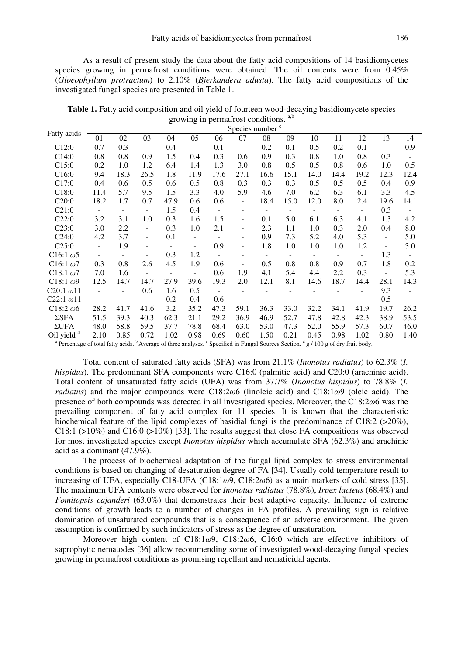As a result of present study the data about the fatty acid compositions of 14 basidiomycetes species growing in permafrost conditions were obtained. The oil contents were from 0.45% (*Gloeophyllum protractum*) to 2.10% (*Bjerkandera adusta*). The fatty acid compositions of the investigated fungal species are presented in Table 1.

**Table 1.** Fatty acid composition and oil yield of fourteen wood-decaying basidiomycete species growing in permafrost conditions.<sup>a,b</sup>

| Fatty acids                              | Species number $\sqrt{c}$ |                          |                          |                          |                          |                          |                          |                          |                          |                          |                          |                          |                          |               |
|------------------------------------------|---------------------------|--------------------------|--------------------------|--------------------------|--------------------------|--------------------------|--------------------------|--------------------------|--------------------------|--------------------------|--------------------------|--------------------------|--------------------------|---------------|
|                                          | 01                        | 02                       | 03                       | 04                       | 05                       | 06                       | 07                       | 08                       | 09                       | 10                       | 11                       | 12                       | 13                       | 14            |
| C12:0                                    | 0.7                       | 0.3                      | $\blacksquare$           | 0.4                      | $\blacksquare$           | 0.1                      | $\blacksquare$           | 0.2                      | 0.1                      | 0.5                      | 0.2                      | 0.1                      | $\overline{\phantom{a}}$ | 0.9           |
| C14:0                                    | 0.8                       | 0.8                      | 0.9                      | 1.5                      | 0.4                      | 0.3                      | 0.6                      | 0.9                      | 0.3                      | 0.8                      | 1.0                      | 0.8                      | 0.3                      |               |
| C15:0                                    | 0.2                       | 1.0                      | 1.2                      | 6.4                      | 1.4                      | 1.3                      | 3.0                      | 0.8                      | 0.5                      | 0.5                      | 0.8                      | 0.6                      | 1.0                      | 0.5           |
| C16:0                                    | 9.4                       | 18.3                     | 26.5                     | 1.8                      | 11.9                     | 17.6                     | 27.1                     | 16.6                     | 15.1                     | 14.0                     | 14.4                     | 19.2                     | 12.3                     | 12.4          |
| C17:0                                    | 0.4                       | 0.6                      | 0.5                      | 0.6                      | 0.5                      | 0.8                      | 0.3                      | 0.3                      | 0.3                      | 0.5                      | 0.5                      | 0.5                      | 0.4                      | 0.9           |
| C18:0                                    | 11.4                      | 5.7                      | 9.5                      | 1.5                      | 3.3                      | 4.0                      | 5.9                      | 4.6                      | 7.0                      | 6.2                      | 6.3                      | 6.1                      | 3.3                      | 4.5           |
| C20:0                                    | 18.2                      | 1.7                      | 0.7                      | 47.9                     | 0.6                      | 0.6                      | $\overline{\phantom{a}}$ | 18.4                     | 15.0                     | 12.0                     | 8.0                      | 2.4                      | 19.6                     | 14.1          |
| C21:0                                    | $\overline{\phantom{a}}$  | $\overline{\phantom{m}}$ |                          | 1.5                      | 0.4                      | $\overline{\phantom{a}}$ | $\qquad \qquad -$        | $\overline{\phantom{a}}$ | $\overline{a}$           | $\overline{\phantom{a}}$ | $\overline{\phantom{a}}$ | $\overline{\phantom{a}}$ | 0.3                      |               |
| C22:0                                    | 3.2                       | 3.1                      | 1.0                      | 0.3                      | 1.6                      | 1.5                      | $\overline{\phantom{a}}$ | 0.1                      | 5.0                      | 6.1                      | 6.3                      | 4.1                      | 1.3                      | 4.2           |
| C23:0                                    | 3.0                       | 2.2                      | $\overline{\phantom{a}}$ | 0.3                      | 1.0                      | 2.1                      | $\overline{\phantom{a}}$ | 2.3                      | 1.1                      | 1.0                      | 0.3                      | 2.0                      | 0.4                      | 8.0           |
| C24:0                                    | 4.2                       | 3.7                      | $\blacksquare$           | 0.1                      | $\overline{\phantom{a}}$ |                          | $\overline{\phantom{a}}$ | 0.9                      | 7.3                      | 5.2                      | 4.0                      | 5.3                      | $\overline{\phantom{a}}$ | 5.0           |
| C25:0                                    | $\blacksquare$            | 1.9                      |                          | $\overline{\phantom{0}}$ | $\overline{\phantom{0}}$ | 0.9                      | $\overline{\phantom{a}}$ | 1.8                      | 1.0                      | 1.0                      | 1.0                      | 1.2                      | $\overline{\phantom{a}}$ | 3.0           |
| C <sub>16:1</sub> $\omega$ <sub>5</sub>  | $\overline{\phantom{a}}$  | $\overline{\phantom{a}}$ |                          | 0.3                      | 1.2                      | $\overline{\phantom{a}}$ |                          | $\overline{\phantom{a}}$ | $\overline{\phantom{a}}$ | $\sim$                   | $\overline{\phantom{a}}$ | $\overline{a}$           | 1.3                      |               |
| C <sub>16:1</sub> $\omega$ <sup>7</sup>  | 0.3                       | 0.8                      | 2.6                      | 4.5                      | 1.9                      | 0.6                      | $\overline{\phantom{a}}$ | 0.5                      | 0.8                      | 0.8                      | 0.9                      | 0.7                      | 1.8                      | 0.2           |
| C <sub>18:1</sub> $\omega$ <sup>7</sup>  | 7.0                       | 1.6                      |                          | $\overline{\phantom{a}}$ | $\blacksquare$           | 0.6                      | 1.9                      | 4.1                      | 5.4                      | 4.4                      | 2.2                      | 0.3                      | $\blacksquare$           | 5.3           |
| C <sub>18:1</sub> $\omega$ <sup>9</sup>  | 12.5                      | 14.7                     | 14.7                     | 27.9                     | 39.6                     | 19.3                     | 2.0                      | 12.1                     | 8.1                      | 14.6                     | 18.7                     | 14.4                     | 28.1                     | 14.3          |
| C <sub>20:1</sub> $\omega$ <sub>11</sub> | $\overline{\phantom{a}}$  |                          | 0.6                      | 1.6                      | 0.5                      | $\overline{\phantom{0}}$ |                          |                          |                          |                          |                          |                          | 9.3                      | $\frac{1}{2}$ |
| C22:1 $\omega$ 11                        |                           |                          |                          | 0.2                      | 0.4                      | 0.6                      |                          |                          |                          |                          |                          |                          | 0.5                      |               |
| C <sub>18:2</sub> $\omega$ <sup>6</sup>  | 28.2                      | 41.7                     | 41.6                     | 3.2                      | 35.2                     | 47.3                     | 59.1                     | 36.3                     | 33.0                     | 32.2                     | 34.1                     | 41.9                     | 19.7                     | 26.2          |
| $\Sigma$ SFA                             | 51.5                      | 39.3                     | 40.3                     | 62.3                     | 21.1                     | 29.2                     | 36.9                     | 46.9                     | 52.7                     | 47.8                     | 42.8                     | 42.3                     | 38.9                     | 53.5          |
| $\Sigma$ UFA                             | 48.0                      | 58.8                     | 59.5                     | 37.7                     | 78.8                     | 68.4                     | 63.0                     | 53.0                     | 47.3                     | 52.0                     | 55.9                     | 57.3                     | 60.7                     | 46.0          |
| Oil yield <sup>d</sup>                   | 2.10                      | 0.85                     | 0.72                     | 1.02                     | 0.98                     | 0.69                     | 0.60                     | 1.50                     | 0.21                     | 0.45                     | 0.98                     | 1.02                     | 0.80                     | 1.40          |

<sup>a</sup> Percentage of total fatty acids. <sup>b</sup> Average of three analyses. <sup>c</sup> Specified in Fungal Sources Section. <sup>d</sup> g / 100 g of dry fruit body.

Total content of saturated fatty acids (SFA) was from 21.1% (*Inonotus radiatus*) to 62.3% (*I. hispidus*). The predominant SFA components were C16:0 (palmitic acid) and C20:0 (arachinic acid). Total content of unsaturated fatty acids (UFA) was from 37.7% (*Inonotus hispidus*) to 78.8% (*I. radiatus*) and the major compounds were C18:2ω6 (linoleic acid) and C18:1ω9 (oleic acid). The presence of both compounds was detected in all investigated species. Moreover, the  $C18:2\omega$ 6 was the prevailing component of fatty acid complex for 11 species. It is known that the characteristic biochemical feature of the lipid complexes of basidial fungi is the predominance of C18:2 (>20%),  $C18:1$  (>10%) and  $C16:0$  (>10%) [33]. The results suggest that close FA compositions was observed for most investigated species except *Inonotus hispidus* which accumulate SFA (62.3%) and arachinic acid as a dominant (47.9%).

The process of biochemical adaptation of the fungal lipid complex to stress environmental conditions is based on changing of desaturation degree of FA [34]. Usually cold temperature result to increasing of UFA, especially C18-UFA (C18:1 $\omega$ 9, C18:2 $\omega$ 6) as a main markers of cold stress [35]. The maximum UFA contents were observed for *Inonotus radiatus* (78.8%), *Irpex lacteus* (68.4%) and *Fomitopsis cajanderi* (63.0%) that demonstrates their best adaptive capacity. Influence of extreme conditions of growth leads to a number of changes in FA profiles. A prevailing sign is relative domination of unsaturated compounds that is a consequence of an adverse environment. The given assumption is confirmed by such indicators of stress as the degree of unsaturation.

Moreover high content of C18:1ω9, C18:2ω6, C16:0 which are effective inhibitors of saprophytic nematodes [36] allow recommending some of investigated wood-decaying fungal species growing in permafrost conditions as promising repellant and nematicidal agents.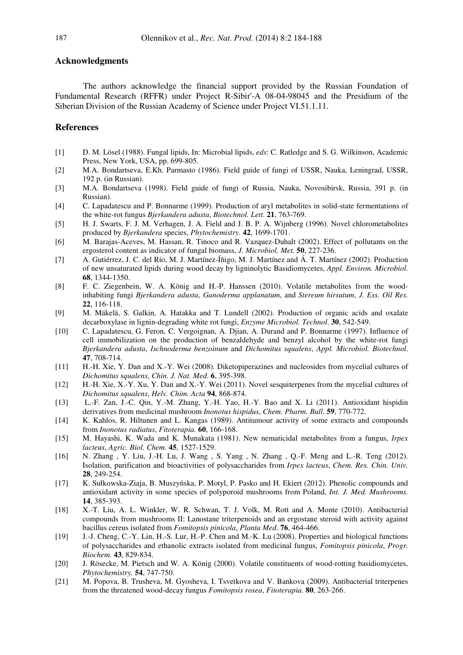#### **Acknowledgments**

The authors acknowledge the financial support provided by the Russian Foundation of Fundamental Research (RFFR) under Project R-Sibir'-A 08-04-98045 and the Presidium of the Siberian Division of the Russian Academy of Science under Project VI.51.1.11.

### **References**

- [1] D. M. Lösel (1988). Fungal lipids, In: Microbial lipids, *eds*: C. Ratledge and S. G. Wilkinson, Academic Press, New York, USA, pp. 699-805.
- [2] M.A. Bondartseva, E.Kh. Parmasto (1986). Field guide of fungi of USSR, Nauka, Leningrad, USSR, 192 p. (in Russian).
- [3] M.A. Bondartseva (1998). Field guide of fungi of Russia, Nauka, Novosibirsk, Russia, 391 p. (in Russian).
- [4] C. Lapadatescu and P. Bonnarme (1999). Production of aryl metabolites in solid-state fermentations of the white-rot fungus *Bjerkandera adusta*, *Biotechnol. Lett*. **21**, 763-769.
- [5] H. J. Swarts, F. J. M. Verhagen, J. A. Field and J. B. P. A. Wijnberg (1996). Novel chlorometabolites produced by *Bjerkandera* species, *Phytochemistry.* **42**, 1699-1701.
- [6] M. Barajas-Aceves, M. Hassan, R. Tinoco and R. Vazquez-Duhalt (2002). Effect of pollutants on the ergosterol content as indicator of fungal biomass, *J. Microbiol. Met.* **50**, 227-236.
- [7] A. Gutiérrez, J. C. del Río, M. J. Martínez-Íňigo, M. J. Martínez and Á. T. Martínez (2002). Production of new unsaturated lipids during wood decay by ligninolytic Basidiomycetes, *Appl. Environ. Microbiol*. **68**, 1344-1350.
- [8] F. C. Ziegenbein, W. A. König and H.-P. Hanssen (2010). Volatile metabolites from the woodinhabiting fungi *Bjerkandera adusta*, *Ganoderma applanatum*, and *Stereum hirsutum*, *J. Ess. Oil Res.* **22**, 116-118.
- [9] M. Mäkelä, S. Galkin, A. Hatakka and T. Lundell (2002). Production of organic acids and oxalate decarboxylase in lignin-degrading white rot fungi, *Enzyme Microbiol. Technol*. **30**, 542-549.
- [10] C. Lapadatescu, G. Feron, C. Vergoignan, A. Djian, A. Durand and P. Bonnarme (1997). Influence of cell immobilization on the production of benzaldehyde and benzyl alcohol by the white-rot fungi *Bjerkandera adusta*, *Ischnoderma benzoinum* and *Dichomitus squalens*, *Appl. Microbiol. Biotechnol*. **47**, 708-714.
- [11] H.-H. Xie, Y. Dan and X.-Y. Wei (2008). Diketopiperazines and nucleosides from mycelial cultures of *Dichomitus squalens*, *Chin. J. Nat. Med*. **6**, 395-398.
- [12] H.-H. Xie, X.-Y. Xu, Y. Dan and X.-Y. Wei (2011). Novel sesquiterpenes from the mycelial cultures of *Dichomitus squalens*, *Helv. Chim. Acta* **94**, 868-874.
- [13] L.-F. Zan, J.-C. Qin, Y.-M. Zhang, Y.-H. Yao, H.-Y. Bao and X. Li (2011). Antioxidant hispidin derivatives from medicinal mushroom *Inonotus hispidus*, *Chem. Pharm. Bull*. **59**, 770-772.
- [14] K. Kahlos, R. Hiltunen and L. Kangas (1989). Antitumour activity of some extracts and compounds from *Inonotus radiatus*, *Fitoterapia.* **60**, 166-168.
- [15] M. Hayashi, K. Wada and K. Munakata (1981). New nematicidal metabolites from a fungus, *Irpex lacteus*, *Agric. Biol. Chem.* **45**, 1527-1529.
- [16] N. Zhang , Y. Liu, J.-H. Lu, J. Wang , S. Yang , N. Zhang , Q.-F. Meng and L.-R. Teng (2012). Isolation, purification and bioactivities of polysaccharides from *Irpex lacteus*, *Chem. Res. Chin. Univ.* **28**, 249-254.
- [17] K. Sułkowska-Ziaja, B. Muszyńska, P. Motyl, P. Pasko and H. Ekiert (2012). Phenolic compounds and antioxidant activity in some species of polyporoid mushrooms from Poland, *Int. J. Med. Mushrooms.* **14**, 385-393.
- [18] X.-T. Liu, A. L. Winkler, W. R. Schwan, T. J. Volk, M. Rott and A. Monte (2010). Antibacterial compounds from mushrooms II: Lanostane triterpenoids and an ergostane steroid with activity against bacillus cereus isolated from *Fomitopsis pinicola*, *Planta Med*. **76**, 464-466.
- [19] J.-J. Cheng, C.-Y. Lin, H.-S. Lur, H.-P. Chen and M.-K. Lu (2008). Properties and biological functions of polysaccharides and ethanolic extracts isolated from medicinal fungus, *Fomitopsis pinicola*, *Progr. Biochem.* **43**, 829-834.
- [20] J. Rösecke, M. Pietsch and W. A. König (2000). Volatile constituents of wood-rotting basidiomycetes, *Phytochemistry.* **54**, 747-750.
- [21] M. Popova, B. Trusheva, M. Gyosheva, I. Tsvetkova and V. Bankova (2009). Antibacterial triterpenes from the threatened wood-decay fungus *Fomitopsis rosea*, *Fitoterapia.* **80**, 263-266.